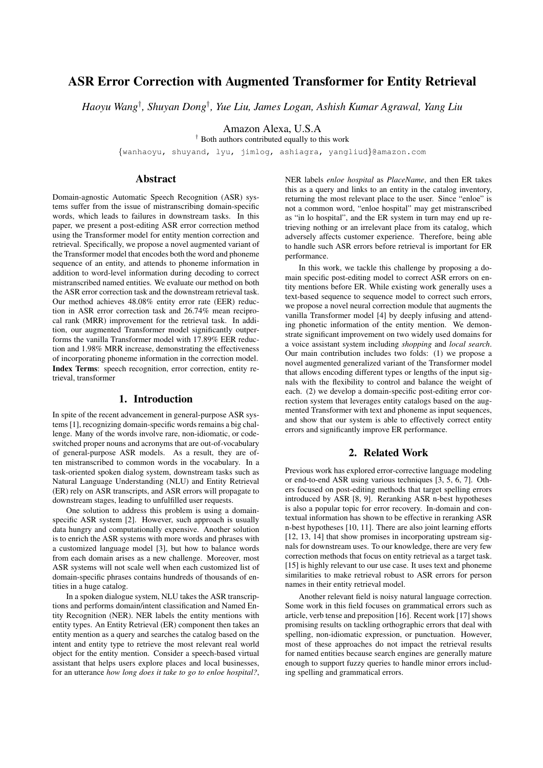# ASR Error Correction with Augmented Transformer for Entity Retrieval

*Haoyu Wang*† *, Shuyan Dong*† *, Yue Liu, James Logan, Ashish Kumar Agrawal, Yang Liu*

Amazon Alexa, U.S.A

† Both authors contributed equally to this work

{wanhaoyu, shuyand, lyu, jimlog, ashiagra, yangliud}@amazon.com

# Abstract

Domain-agnostic Automatic Speech Recognition (ASR) systems suffer from the issue of mistranscribing domain-specific words, which leads to failures in downstream tasks. In this paper, we present a post-editing ASR error correction method using the Transformer model for entity mention correction and retrieval. Specifically, we propose a novel augmented variant of the Transformer model that encodes both the word and phoneme sequence of an entity, and attends to phoneme information in addition to word-level information during decoding to correct mistranscribed named entities. We evaluate our method on both the ASR error correction task and the downstream retrieval task. Our method achieves 48.08% entity error rate (EER) reduction in ASR error correction task and 26.74% mean reciprocal rank (MRR) improvement for the retrieval task. In addition, our augmented Transformer model significantly outperforms the vanilla Transformer model with 17.89% EER reduction and 1.98% MRR increase, demonstrating the effectiveness of incorporating phoneme information in the correction model. Index Terms: speech recognition, error correction, entity retrieval, transformer

# 1. Introduction

In spite of the recent advancement in general-purpose ASR systems [1], recognizing domain-specific words remains a big challenge. Many of the words involve rare, non-idiomatic, or codeswitched proper nouns and acronyms that are out-of-vocabulary of general-purpose ASR models. As a result, they are often mistranscribed to common words in the vocabulary. In a task-oriented spoken dialog system, downstream tasks such as Natural Language Understanding (NLU) and Entity Retrieval (ER) rely on ASR transcripts, and ASR errors will propagate to downstream stages, leading to unfulfilled user requests.

One solution to address this problem is using a domainspecific ASR system [2]. However, such approach is usually data hungry and computationally expensive. Another solution is to enrich the ASR systems with more words and phrases with a customized language model [3], but how to balance words from each domain arises as a new challenge. Moreover, most ASR systems will not scale well when each customized list of domain-specific phrases contains hundreds of thousands of entities in a huge catalog.

In a spoken dialogue system, NLU takes the ASR transcriptions and performs domain/intent classification and Named Entity Recognition (NER). NER labels the entity mentions with entity types. An Entity Retrieval (ER) component then takes an entity mention as a query and searches the catalog based on the intent and entity type to retrieve the most relevant real world object for the entity mention. Consider a speech-based virtual assistant that helps users explore places and local businesses, for an utterance *how long does it take to go to enloe hospital?*, NER labels *enloe hospital* as *PlaceName*, and then ER takes this as a query and links to an entity in the catalog inventory, returning the most relevant place to the user. Since "enloe" is not a common word, "enloe hospital" may get mistranscribed as "in lo hospital", and the ER system in turn may end up retrieving nothing or an irrelevant place from its catalog, which adversely affects customer experience. Therefore, being able to handle such ASR errors before retrieval is important for ER performance.

In this work, we tackle this challenge by proposing a domain specific post-editing model to correct ASR errors on entity mentions before ER. While existing work generally uses a text-based sequence to sequence model to correct such errors, we propose a novel neural correction module that augments the vanilla Transformer model [4] by deeply infusing and attending phonetic information of the entity mention. We demonstrate significant improvement on two widely used domains for a voice assistant system including *shopping* and *local search*. Our main contribution includes two folds: (1) we propose a novel augmented generalized variant of the Transformer model that allows encoding different types or lengths of the input signals with the flexibility to control and balance the weight of each. (2) we develop a domain-specific post-editing error correction system that leverages entity catalogs based on the augmented Transformer with text and phoneme as input sequences, and show that our system is able to effectively correct entity errors and significantly improve ER performance.

### 2. Related Work

Previous work has explored error-corrective language modeling or end-to-end ASR using various techniques [3, 5, 6, 7]. Others focused on post-editing methods that target spelling errors introduced by ASR [8, 9]. Reranking ASR n-best hypotheses is also a popular topic for error recovery. In-domain and contextual information has shown to be effective in reranking ASR n-best hypotheses [10, 11]. There are also joint learning efforts [12, 13, 14] that show promises in incorporating upstream signals for downstream uses. To our knowledge, there are very few correction methods that focus on entity retrieval as a target task. [15] is highly relevant to our use case. It uses text and phoneme similarities to make retrieval robust to ASR errors for person names in their entity retrieval model.

Another relevant field is noisy natural language correction. Some work in this field focuses on grammatical errors such as article, verb tense and preposition [16]. Recent work [17] shows promising results on tackling orthographic errors that deal with spelling, non-idiomatic expression, or punctuation. However, most of these approaches do not impact the retrieval results for named entities because search engines are generally mature enough to support fuzzy queries to handle minor errors including spelling and grammatical errors.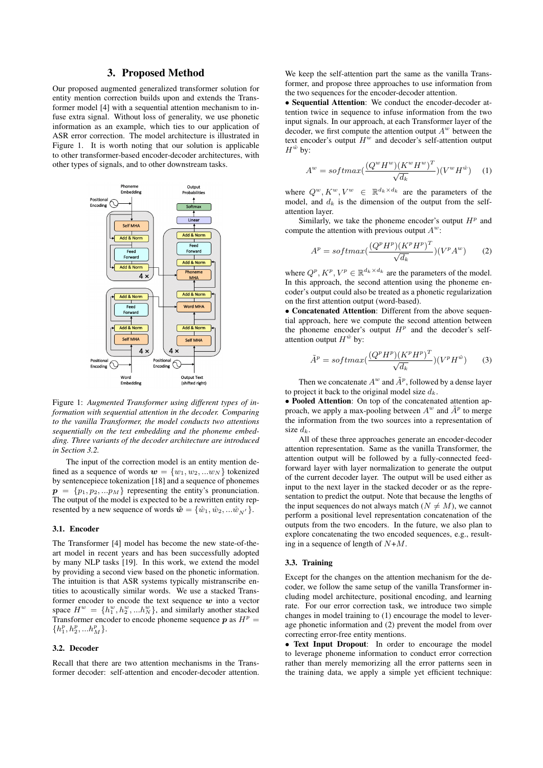### 3. Proposed Method

Our proposed augmented generalized transformer solution for entity mention correction builds upon and extends the Transformer model [4] with a sequential attention mechanism to infuse extra signal. Without loss of generality, we use phonetic information as an example, which ties to our application of ASR error correction. The model architecture is illustrated in Figure 1. It is worth noting that our solution is applicable to other transformer-based encoder-decoder architectures, with other types of signals, and to other downstream tasks.



Figure 1: *Augmented Transformer using different types of information with sequential attention in the decoder. Comparing to the vanilla Transformer, the model conducts two attentions sequentially on the text embedding and the phoneme embedding. Three variants of the decoder architecture are introduced in Section 3.2.*

The input of the correction model is an entity mention defined as a sequence of words  $w = \{w_1, w_2, ... w_N\}$  tokenized by sentencepiece tokenization [18] and a sequence of phonemes  $p = \{p_1, p_2, ... p_M\}$  representing the entity's pronunciation. The output of the model is expected to be a rewritten entity represented by a new sequence of words  $\hat{\boldsymbol{w}} = \{\hat{w}_1, \hat{w}_2, ... \hat{w}_{N'}\}.$ 

### 3.1. Encoder

The Transformer [4] model has become the new state-of-theart model in recent years and has been successfully adopted by many NLP tasks [19]. In this work, we extend the model by providing a second view based on the phonetic information. The intuition is that ASR systems typically mistranscribe entities to acoustically similar words. We use a stacked Transformer encoder to encode the text sequence  $w$  into a vector space  $H^w = \{h_1^w, h_2^w, ... h_N^w\}$ , and similarly another stacked Transformer encoder to encode phoneme sequence  $p$  as  $H^p =$  $\{h^{p}_1, h^{p}_2, ... h^{p}_M\}.$ 

### 3.2. Decoder

Recall that there are two attention mechanisms in the Transformer decoder: self-attention and encoder-decoder attention.

We keep the self-attention part the same as the vanilla Transformer, and propose three approaches to use information from the two sequences for the encoder-decoder attention.

• Sequential Attention: We conduct the encoder-decoder attention twice in sequence to infuse information from the two input signals. In our approach, at each Transformer layer of the decoder, we first compute the attention output  $A<sup>w</sup>$  between the text encoder's output  $H^w$  and decoder's self-attention output  $H^{\hat{w}}$  by:

$$
Aw = softmax(\frac{(Qw Hw)(Kw Hw)T}{\sqrt{d_k}})(Vw H\hat{w})
$$
 (1)

where  $Q^w, K^w, V^w \in \mathbb{R}^{d_k \times d_k}$  are the parameters of the model, and  $d_k$  is the dimension of the output from the selfattention layer.

Similarly, we take the phoneme encoder's output  $H<sup>p</sup>$  and compute the attention with previous output  $A^w$ :

$$
A^{p} = softmax(\frac{(Q^{p}H^{p})(K^{p}H^{p})^{T}}{\sqrt{d_{k}}})(V^{p}A^{w})
$$
 (2)

where  $Q^p, K^p, V^p \in \mathbb{R}^{d_k \times d_k}$  are the parameters of the model. In this approach, the second attention using the phoneme encoder's output could also be treated as a phonetic regularization on the first attention output (word-based).

• Concatenated Attention: Different from the above sequential approach, here we compute the second attention between the phoneme encoder's output  $H<sup>p</sup>$  and the decoder's selfattention output  $H^{\hat{w}}$  by:

$$
\tilde{A}^p = softmax(\frac{(Q^p H^p)(K^p H^p)^T}{\sqrt{d_k}})(V^p H^{\hat{w}})
$$
 (3)

Then we concatenate  $A^w$  and  $\tilde{A}^p$ , followed by a dense layer to project it back to the original model size  $d_k$ .

• Pooled Attention: On top of the concatenated attention approach, we apply a max-pooling between  $A^w$  and  $\tilde{A}^p$  to merge the information from the two sources into a representation of size  $d_k$ .

All of these three approaches generate an encoder-decoder attention representation. Same as the vanilla Transformer, the attention output will be followed by a fully-connected feedforward layer with layer normalization to generate the output of the current decoder layer. The output will be used either as input to the next layer in the stacked decoder or as the representation to predict the output. Note that because the lengths of the input sequences do not always match ( $N \neq M$ ), we cannot perform a positional level representation concatenation of the outputs from the two encoders. In the future, we also plan to explore concatenating the two encoded sequences, e.g., resulting in a sequence of length of  $N+M$ .

### 3.3. Training

Except for the changes on the attention mechanism for the decoder, we follow the same setup of the vanilla Transformer including model architecture, positional encoding, and learning rate. For our error correction task, we introduce two simple changes in model training to (1) encourage the model to leverage phonetic information and (2) prevent the model from over correcting error-free entity mentions.

• Text Input Dropout: In order to encourage the model to leverage phoneme information to conduct error correction rather than merely memorizing all the error patterns seen in the training data, we apply a simple yet efficient technique: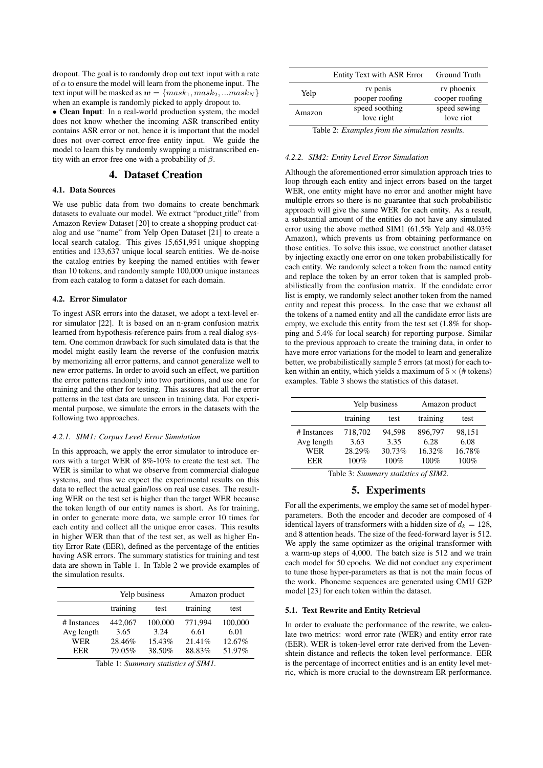dropout. The goal is to randomly drop out text input with a rate of  $\alpha$  to ensure the model will learn from the phoneme input. The text input will be masked as  $w = \{mask_1, mask_2, ...mask_N\}$ when an example is randomly picked to apply dropout to.

• Clean Input: In a real-world production system, the model does not know whether the incoming ASR transcribed entity contains ASR error or not, hence it is important that the model does not over-correct error-free entity input. We guide the model to learn this by randomly swapping a mistranscribed entity with an error-free one with a probability of  $\beta$ .

# 4. Dataset Creation

# 4.1. Data Sources

We use public data from two domains to create benchmark datasets to evaluate our model. We extract "product\_title" from Amazon Review Dataset [20] to create a shopping product catalog and use "name" from Yelp Open Dataset [21] to create a local search catalog. This gives 15,651,951 unique shopping entities and 133,637 unique local search entities. We de-noise the catalog entries by keeping the named entities with fewer than 10 tokens, and randomly sample 100,000 unique instances from each catalog to form a dataset for each domain.

#### 4.2. Error Simulator

To ingest ASR errors into the dataset, we adopt a text-level error simulator [22]. It is based on an n-gram confusion matrix learned from hypothesis-reference pairs from a real dialog system. One common drawback for such simulated data is that the model might easily learn the reverse of the confusion matrix by memorizing all error patterns, and cannot generalize well to new error patterns. In order to avoid such an effect, we partition the error patterns randomly into two partitions, and use one for training and the other for testing. This assures that all the error patterns in the test data are unseen in training data. For experimental purpose, we simulate the errors in the datasets with the following two approaches.

#### *4.2.1. SIM1: Corpus Level Error Simulation*

In this approach, we apply the error simulator to introduce errors with a target WER of 8%-10% to create the test set. The WER is similar to what we observe from commercial dialogue systems, and thus we expect the experimental results on this data to reflect the actual gain/loss on real use cases. The resulting WER on the test set is higher than the target WER because the token length of our entity names is short. As for training, in order to generate more data, we sample error 10 times for each entity and collect all the unique error cases. This results in higher WER than that of the test set, as well as higher Entity Error Rate (EER), defined as the percentage of the entities having ASR errors. The summary statistics for training and test data are shown in Table 1. In Table 2 we provide examples of the simulation results.

|             |                  | Yelp business |          | Amazon product |
|-------------|------------------|---------------|----------|----------------|
|             | training<br>test |               | training | test           |
| # Instances | 442,067          | 100,000       | 771.994  | 100,000        |
| Avg length  | 3.65             | 3.24          | 6.61     | 6.01           |
| WER         | 28.46%           | 15.43%        | 21.41%   | 12.67%         |
| EER         | 79.05%           | 38.50%        | 88.83%   | 51.97%         |

|  |  | Table 1: Summary statistics of SIM1. |  |  |
|--|--|--------------------------------------|--|--|
|--|--|--------------------------------------|--|--|

|        | Entity Text with ASR Error   | <b>Ground Truth</b>          |
|--------|------------------------------|------------------------------|
| Yelp   | rv penis<br>pooper roofing   | rv phoenix<br>cooper roofing |
| Amazon | speed soothing<br>love right | speed sewing<br>love riot    |
|        | .<br>$-$                     |                              |

Table 2: *Examples from the simulation results.*

#### *4.2.2. SIM2: Entity Level Error Simulation*

Although the aforementioned error simulation approach tries to loop through each entity and inject errors based on the target WER, one entity might have no error and another might have multiple errors so there is no guarantee that such probabilistic approach will give the same WER for each entity. As a result, a substantial amount of the entities do not have any simulated error using the above method SIM1 (61.5% Yelp and 48.03% Amazon), which prevents us from obtaining performance on those entities. To solve this issue, we construct another dataset by injecting exactly one error on one token probabilistically for each entity. We randomly select a token from the named entity and replace the token by an error token that is sampled probabilistically from the confusion matrix. If the candidate error list is empty, we randomly select another token from the named entity and repeat this process. In the case that we exhaust all the tokens of a named entity and all the candidate error lists are empty, we exclude this entity from the test set (1.8% for shopping and 5.4% for local search) for reporting purpose. Similar to the previous approach to create the training data, in order to have more error variations for the model to learn and generalize better, we probabilistically sample 5 errors (at most) for each token within an entity, which yields a maximum of  $5 \times (# tokens)$ examples. Table 3 shows the statistics of this dataset.

|             | Yelp business |        | Amazon product |        |  |
|-------------|---------------|--------|----------------|--------|--|
|             | training      | test   | training       | test   |  |
| # Instances | 718,702       | 94.598 | 896,797        | 98,151 |  |
| Avg length  | 3.63          | 3.35   | 6.28           | 6.08   |  |
| WER         | 28.29%        | 30.73% | 16.32%         | 16.78% |  |
| EER         | 100%          | 100%   | 100%           | 100%   |  |

Table 3: *Summary statistics of SIM2.*

# 5. Experiments

For all the experiments, we employ the same set of model hyperparameters. Both the encoder and decoder are composed of 4 identical layers of transformers with a hidden size of  $d_k = 128$ , and 8 attention heads. The size of the feed-forward layer is 512. We apply the same optimizer as the original transformer with a warm-up steps of 4,000. The batch size is 512 and we train each model for 50 epochs. We did not conduct any experiment to tune those hyper-parameters as that is not the main focus of the work. Phoneme sequences are generated using CMU G2P model [23] for each token within the dataset.

#### 5.1. Text Rewrite and Entity Retrieval

In order to evaluate the performance of the rewrite, we calculate two metrics: word error rate (WER) and entity error rate (EER). WER is token-level error rate derived from the Levenshtein distance and reflects the token level performance. EER is the percentage of incorrect entities and is an entity level metric, which is more crucial to the downstream ER performance.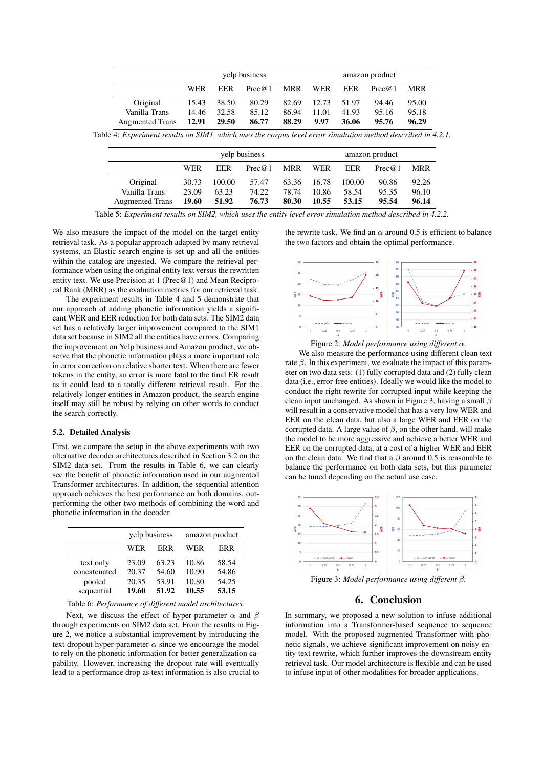|                        | yelp business |       |        | amazon product |         |       |        |       |
|------------------------|---------------|-------|--------|----------------|---------|-------|--------|-------|
|                        | <b>WER</b>    | EER   | Prec@1 |                | MRR WER | EER   | Prec@1 | MRR   |
| Original               | 15.43         | 38.50 | 80.29  | 82.69          | 12.73   | 51.97 | 94.46  | 95.00 |
| Vanilla Trans          | 14.46         | 32.58 | 85.12  | 86.94          | 11.01   | 41.93 | 95.16  | 95.18 |
| <b>Augmented Trans</b> | 12.91 29.50   |       | 86.77  | 88.29          | 9.97    | 36.06 | 95.76  | 96.29 |

| Table 4: Experiment results on SIM1, which uses the corpus level error simulation method described in 4.2.1. |  |  |  |
|--------------------------------------------------------------------------------------------------------------|--|--|--|
|--------------------------------------------------------------------------------------------------------------|--|--|--|

|                        | yelp business |            |        | amazon product |       |        |        |       |
|------------------------|---------------|------------|--------|----------------|-------|--------|--------|-------|
|                        | WER           | <b>EER</b> | Prec@1 | <b>MRR</b>     | WER   | EER    | Prec@1 | MRR   |
| Original               | 30.73         | 100.00     | 57.47  | 63.36          | 16.78 | 100.00 | 90.86  | 92.26 |
| Vanilla Trans          | 23.09         | 63.23      | 74.22  | 78.74          | 10.86 | 58.54  | 95.35  | 96.10 |
| <b>Augmented Trans</b> | 19.60         | 51.92      | 76.73  | 80.30          | 10.55 | 53.15  | 95.54  | 96.14 |

Table 5: *Experiment results on SIM2, which uses the entity level error simulation method described in 4.2.2.*

We also measure the impact of the model on the target entity retrieval task. As a popular approach adapted by many retrieval systems, an Elastic search engine is set up and all the entities within the catalog are ingested. We compare the retrieval performance when using the original entity text versus the rewritten entity text. We use Precision at 1 (Prec@1) and Mean Reciprocal Rank (MRR) as the evaluation metrics for our retrieval task.

The experiment results in Table 4 and 5 demonstrate that our approach of adding phonetic information yields a significant WER and EER reduction for both data sets. The SIM2 data set has a relatively larger improvement compared to the SIM1 data set because in SIM2 all the entities have errors. Comparing the improvement on Yelp business and Amazon product, we observe that the phonetic information plays a more important role in error correction on relative shorter text. When there are fewer tokens in the entity, an error is more fatal to the final ER result as it could lead to a totally different retrieval result. For the relatively longer entities in Amazon product, the search engine itself may still be robust by relying on other words to conduct the search correctly.

#### 5.2. Detailed Analysis

First, we compare the setup in the above experiments with two alternative decoder architectures described in Section 3.2 on the SIM2 data set. From the results in Table 6, we can clearly see the benefit of phonetic information used in our augmented Transformer architectures. In addition, the sequential attention approach achieves the best performance on both domains, outperforming the other two methods of combining the word and phonetic information in the decoder.

|                                     |                         | yelp business           | amazon product          |                         |  |
|-------------------------------------|-------------------------|-------------------------|-------------------------|-------------------------|--|
|                                     | WER                     | ERR                     | WER                     | <b>ERR</b>              |  |
| text only<br>concatenated<br>pooled | 23.09<br>20.37<br>20.35 | 63.23<br>54.60<br>53.91 | 10.86<br>10.90<br>10.80 | 58.54<br>54.86<br>54.25 |  |
| sequential                          | 19.60                   | 51.92                   | 10.55                   | 53.15                   |  |

Table 6: *Performance of different model architectures.*

Next, we discuss the effect of hyper-parameter  $\alpha$  and  $\beta$ through experiments on SIM2 data set. From the results in Figure 2, we notice a substantial improvement by introducing the text dropout hyper-parameter  $\alpha$  since we encourage the model to rely on the phonetic information for better generalization capability. However, increasing the dropout rate will eventually lead to a performance drop as text information is also crucial to

the rewrite task. We find an  $\alpha$  around 0.5 is efficient to balance the two factors and obtain the optimal performance.



Figure 2: *Model performance using different* α*.*

We also measure the performance using different clean text rate  $\beta$ . In this experiment, we evaluate the impact of this parameter on two data sets: (1) fully corrupted data and (2) fully clean data (i.e., error-free entities). Ideally we would like the model to conduct the right rewrite for corrupted input while keeping the clean input unchanged. As shown in Figure 3, having a small  $\beta$ will result in a conservative model that has a very low WER and EER on the clean data, but also a large WER and EER on the corrupted data. A large value of  $\beta$ , on the other hand, will make the model to be more aggressive and achieve a better WER and EER on the corrupted data, at a cost of a higher WER and EER on the clean data. We find that a  $\beta$  around 0.5 is reasonable to balance the performance on both data sets, but this parameter can be tuned depending on the actual use case.



Figure 3: *Model performance using different* β*.*

# 6. Conclusion

In summary, we proposed a new solution to infuse additional information into a Transformer-based sequence to sequence model. With the proposed augmented Transformer with phonetic signals, we achieve significant improvement on noisy entity text rewrite, which further improves the downstream entity retrieval task. Our model architecture is flexible and can be used to infuse input of other modalities for broader applications.